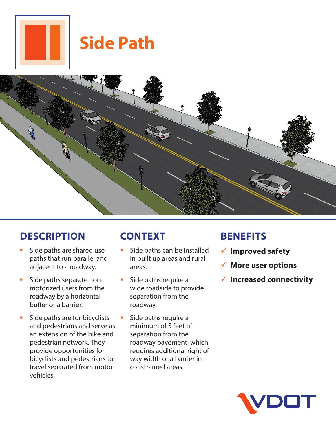

# **Side Path**



# **DESCRIPTION**

- Side paths are shared use paths that run parallel and adjacent to a roadway.
- **Side paths separate non**motorized users from the roadway by a horizontal buffer or a barrier.
- **Side paths are for bicyclists** and pedestrians and serve as an extension of the bike and pedestrian network. They provide opportunities for bicyclists and pedestrians to travel separated from motor vehicles.

# **CONTEXT**

- **Side paths can be installed** in built up areas and rural areas.
- Side paths require a wide roadside to provide separation from the roadway.
	- Side paths require a minimum of 5 feet of separation from the roadway pavement, which requires additional right of way width or a barrier in constrained areas.

### **BENEFITS**

- 9 **Improved safety**
- 9 **More user options**
- 9 **Increased connectivity**